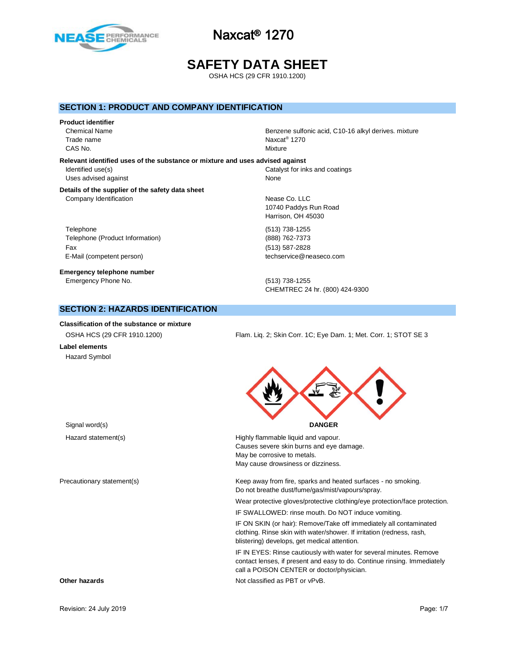

# **SAFETY DATA SHEET**

OSHA HCS (29 CFR 1910.1200)

#### **SECTION 1: PRODUCT AND COMPANY IDENTIFICATION**

#### **Product identifier**

Trade name CAS No. Notice that the contract of the contract of the contract of the contract of the contract of the contract of the contract of the contract of the contract of the contract of the contract of the contract of the contra

Chemical Name **Benzene sulfonic acid, C10-16 alkyl derives**. mixture Naxcat<sup>®</sup> 1270

**Relevant identified uses of the substance or mixture and uses advised against** Identified use(s) Catalyst for inks and coatings Uses advised against None

#### **Details of the supplier of the safety data sheet** Company Identification **Nearly 1999** Company Identification

Telephone (513) 738-1255 Telephone (Product Information) (888) 762-7373 Fax (513) 587-2828 E-Mail (competent person) example a second techservice@neaseco.com

**Emergency telephone number** Emergency Phone No. (513) 738-1255

10740 Paddys Run Road Harrison, OH 45030

CHEMTREC 24 hr. (800) 424-9300

## **SECTION 2: HAZARDS IDENTIFICATION**

**Classification of the substance or mixture**

**Label elements** Hazard Symbol

OSHA HCS (29 CFR 1910.1200) Flam. Liq. 2; Skin Corr. 1C; Eye Dam. 1; Met. Corr. 1; STOT SE 3



| Hazard statement(s)        | Highly flammable liquid and vapour.<br>Causes severe skin burns and eye damage.<br>May be corrosive to metals.<br>May cause drowsiness or dizziness.                                         |
|----------------------------|----------------------------------------------------------------------------------------------------------------------------------------------------------------------------------------------|
| Precautionary statement(s) | Keep away from fire, sparks and heated surfaces - no smoking.<br>Do not breathe dust/fume/gas/mist/vapours/spray.                                                                            |
|                            | Wear protective gloves/protective clothing/eye protection/face protection.                                                                                                                   |
|                            | IF SWALLOWED: rinse mouth. Do NOT induce vomiting.                                                                                                                                           |
|                            | IF ON SKIN (or hair): Remove/Take off immediately all contaminated<br>clothing. Rinse skin with water/shower. If irritation (redness, rash,<br>blistering) develops, get medical attention.  |
|                            | IF IN EYES: Rinse cautiously with water for several minutes. Remove<br>contact lenses, if present and easy to do. Continue rinsing. Immediately<br>call a POISON CENTER or doctor/physician. |
| Other hazards              | Not classified as PBT or vPvB.                                                                                                                                                               |
|                            |                                                                                                                                                                                              |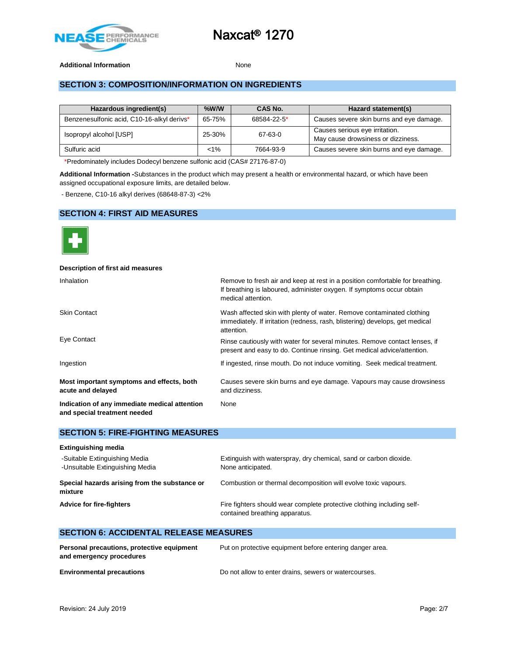

#### Additional Information **None**

## **SECTION 3: COMPOSITION/INFORMATION ON INGREDIENTS**

| Hazardous ingredient(s)                    | $%$ W/W | CAS No.     | Hazard statement(s)                                                  |
|--------------------------------------------|---------|-------------|----------------------------------------------------------------------|
| Benzenesulfonic acid, C10-16-alkyl derivs* | 65-75%  | 68584-22-5* | Causes severe skin burns and eye damage.                             |
| Isopropyl alcohol [USP]                    | 25-30%  | 67-63-0     | Causes serious eye irritation.<br>May cause drowsiness or dizziness. |
| Sulfuric acid                              | $< 1\%$ | 7664-93-9   | Causes severe skin burns and eye damage.                             |

\*Predominately includes Dodecyl benzene sulfonic acid (CAS# 27176-87-0)

**Additional Information -**Substances in the product which may present a health or environmental hazard, or which have been assigned occupational exposure limits, are detailed below.

- Benzene, C10-16 alkyl derives (68648-87-3) <2%

## **SECTION 4: FIRST AID MEASURES**



| Description of first aid measures                                             |                                                                                                                                                                              |
|-------------------------------------------------------------------------------|------------------------------------------------------------------------------------------------------------------------------------------------------------------------------|
| <b>Inhalation</b>                                                             | Remove to fresh air and keep at rest in a position comfortable for breathing.<br>If breathing is laboured, administer oxygen. If symptoms occur obtain<br>medical attention. |
| <b>Skin Contact</b>                                                           | Wash affected skin with plenty of water. Remove contaminated clothing<br>immediately. If irritation (redness, rash, blistering) develops, get medical<br>attention.          |
| Eye Contact                                                                   | Rinse cautiously with water for several minutes. Remove contact lenses, if<br>present and easy to do. Continue rinsing. Get medical advice/attention.                        |
| Ingestion                                                                     | If ingested, rinse mouth. Do not induce vomiting. Seek medical treatment.                                                                                                    |
| Most important symptoms and effects, both<br>acute and delayed                | Causes severe skin burns and eye damage. Vapours may cause drowsiness<br>and dizziness.                                                                                      |
| Indication of any immediate medical attention<br>and special treatment needed | None                                                                                                                                                                         |

#### **SECTION 5: FIRE-FIGHTING MEASURES**

| <b>Extinguishing media</b>                                       |                                                                                                          |
|------------------------------------------------------------------|----------------------------------------------------------------------------------------------------------|
| -Suitable Extinguishing Media<br>-Unsuitable Extinguishing Media | Extinguish with waterspray, dry chemical, sand or carbon dioxide.<br>None anticipated.                   |
| Special hazards arising from the substance or<br>mixture         | Combustion or thermal decomposition will evolve toxic vapours.                                           |
| <b>Advice for fire-fighters</b>                                  | Fire fighters should wear complete protective clothing including self-<br>contained breathing apparatus. |

## **SECTION 6: ACCIDENTAL RELEASE MEASURES**

| Personal precautions, protective equipment<br>and emergency procedures | Put on protective equipment before entering danger area. |
|------------------------------------------------------------------------|----------------------------------------------------------|
| <b>Environmental precautions</b>                                       | Do not allow to enter drains, sewers or watercourses.    |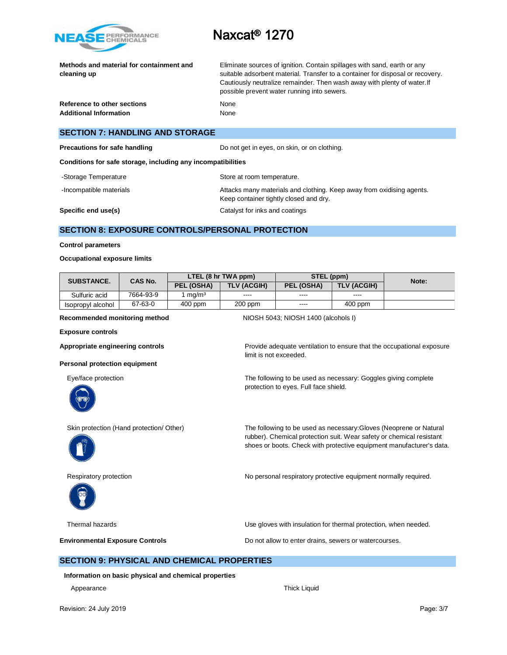

**Methods and material for containment and cleaning up**

Eliminate sources of ignition. Contain spillages with sand, earth or any suitable adsorbent material. Transfer to a container for disposal or recovery. Cautiously neutralize remainder. Then wash away with plenty of water.If possible prevent water running into sewers.

**Reference to other sections** None Additional Information **None** None

# **SECTION 7: HANDLING AND STORAGE**

**Precautions for safe handling Do not get in eyes, on skin, or on clothing.** 

**Conditions for safe storage, including any incompatibilities**

- -Storage Temperature **Storage Temperature** Store at room temperature.
- -Incompatible materials **Attacks many materials and clothing. Keep away from oxidising agents.** Attacks many materials and clothing. Keep away from oxidising agents.

Keep container tightly closed and dry.

**Specific end use(s)** Catalyst for inks and coatings

limit is not exceeded.

## **SECTION 8: EXPOSURE CONTROLS/PERSONAL PROTECTION**

#### **Control parameters**

#### **Occupational exposure limits**

| <b>SUBSTANCE.</b><br><b>CAS No.</b> |           | LTEL (8 hr TWA ppm) |                    | STEL (ppm) |                    | Note: |
|-------------------------------------|-----------|---------------------|--------------------|------------|--------------------|-------|
|                                     |           | PEL (OSHA)          | <b>TLV (ACGIH)</b> | PEL (OSHA) | <b>TLV (ACGIH)</b> |       |
| Sulfuric acid                       | 7664-93-9 | ma/m <sup>3</sup>   | ----               | ----       | $\cdots$           |       |
| Isopropyl alcohol                   | 67-63-0   | $400$ ppm           | $200$ ppm          | $\cdots$   | $400$ ppm          |       |

**Recommended monitoring method NIOSH 5043; NIOSH 1400 (alcohols I)** 

**Exposure controls**

Appropriate engineering controls **Provide adequate ventilation** to ensure that the occupational exposure

#### **Personal protection equipment**



Eye/face protection The following to be used as necessary: Goggles giving complete protection to eyes. Full face shield.

Skin protection (Hand protection/ Other) The following to be used as necessary: Gloves (Neoprene or Natural





rubber). Chemical protection suit. Wear safety or chemical resistant shoes or boots. Check with protective equipment manufacturer's data.

Respiratory protection **No personal respiratory protective equipment normally required.** 

Thermal hazards Use gloves with insulation for thermal protection, when needed.

**Environmental Exposure Controls Exposure Controls Do not allow to enter drains, sewers or watercourses.** 

### **SECTION 9: PHYSICAL AND CHEMICAL PROPERTIES**

**Information on basic physical and chemical properties**

Appearance **Thick Liquid**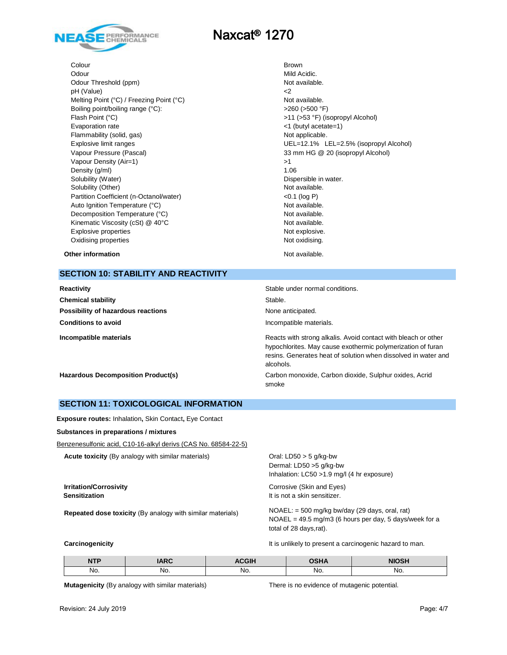

**Colour** Brown Odour Mild Acidic. Odour Threshold (ppm) Not available. pH (Value)  $\leq$ Melting Point (°C) / Freezing Point (°C) Not available. Boiling point/boiling range (°C):  $>260 (>500 °F)$ Flash Point (°C) >11 (>53 °F) (isopropyl Alcohol) Evaporation rate <1 (butyl acetate=1) Flammability (solid, gas) Not applicable. Vapour Pressure (Pascal) 33 mm HG @ 20 (isopropyl Alcohol) Vapour Density (Air=1)  $>1$ Density  $(g/m)$  1.06 Solubility (Water) **Dispersible in water.** Dispersible in water. Solubility (Other) Not available. Partition Coefficient (n-Octanol/water) <0.1 (log P) Auto Ignition Temperature (°C) and the control of the Not available. Decomposition Temperature (°C) Not available. Kinematic Viscosity (cSt) @ 40°C Not available. Explosive properties Not explosive. Oxidising properties Not oxidising.

Explosive limit ranges UEL=12.1% LEL=2.5% (isopropyl Alcohol)

**Other information** and the state of the state of the state of the Not available.

# **SECTION 10: STABILITY AND REACTIVITY**

| Reactivity                                | Stable under normal conditions.                                                                                                                                                                              |
|-------------------------------------------|--------------------------------------------------------------------------------------------------------------------------------------------------------------------------------------------------------------|
| <b>Chemical stability</b>                 | Stable.                                                                                                                                                                                                      |
| Possibility of hazardous reactions        | None anticipated.                                                                                                                                                                                            |
| <b>Conditions to avoid</b>                | Incompatible materials.                                                                                                                                                                                      |
| Incompatible materials                    | Reacts with strong alkalis. Avoid contact with bleach or other<br>hypochlorites. May cause exothermic polymerization of furan<br>resins. Generates heat of solution when dissolved in water and<br>alcohols. |
| <b>Hazardous Decomposition Product(s)</b> | Carbon monoxide, Carbon dioxide, Sulphur oxides, Acrid<br>smoke                                                                                                                                              |

#### **SECTION 11: TOXICOLOGICAL INFORMATION**

**Exposure routes:** Inhalation**,** Skin Contact**,** Eye Contact

**Substances in preparations / mixtures**

Benzenesulfonic acid, C10-16-alkyl derivs (CAS No. 68584-22-5)

**Acute toxicity** (By analogy with similar materials) Oral: LD50 > 5 g/kg-bw

**Repeated dose toxicity** (By analogy with similar materials) NOAEL: = 500 mg/kg bw/day (29 days, oral, rat)

Dermal: LD50 >5 g/kg-bw Inhalation: LC50 >1.9 mg/l (4 hr exposure)

**Irritation/Corrosivity** Corrosive (Skin and Eyes) **Sensitization It is not a skin sensitizer.** 

> NOAEL = 49.5 mg/m3 (6 hours per day, 5 days/week for a total of 28 days,rat).

**Carcinogenicity Carcinogenicity It is unlikely to present a carcinogenic hazard to man.** 

| <b>NTP</b> | ADO | <b>\CGIH</b> | י ⊔ף∩<br>.па | <b>NIOSH</b> |
|------------|-----|--------------|--------------|--------------|
| No.        | No. | No.          | NO.          | No.          |

**Mutagenicity** (By analogy with similar materials) There is no evidence of mutagenic potential.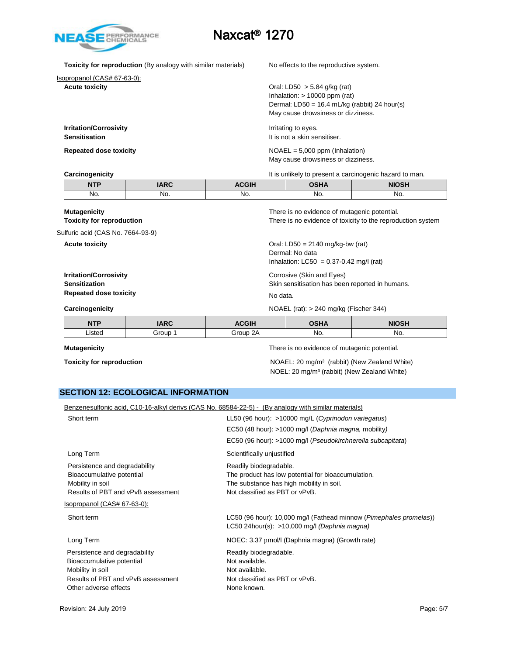

**Toxicity for reproduction** (By analogy with similar materials) No effects to the reproductive system.

Isopropanol (CAS# 67-63-0):

**Acute toxicity Acute toxicity Acute toxicity Oral:** LD50 > 5.84 g/kg (rat) Inhalation: > 10000 ppm (rat) Dermal: LD50 = 16.4 mL/kg (rabbit) 24 hour(s) May cause drowsiness or dizziness.

**Irritation/Corrosivity Irritation** Irritating to eyes. **Sensitisation It is not a skin sensitiser.** 

**Repeated dose toxicity** NOAEL = 5,000 ppm (Inhalation) May cause drowsiness or dizziness.

**Carcinogenicity** It is unlikely to present a carcinogenic hazard to man.

|      |     |      |     | www.music.com/www.music.com/www.music.com/www.music.com/www.music.com/www.music.com/www.music.com/ww |
|------|-----|------|-----|------------------------------------------------------------------------------------------------------|
| NITO |     | CGIH |     | <b>NIOSH</b>                                                                                         |
| No.  | No. | No.  | No. | No.                                                                                                  |

| <b>Mutagenicity</b><br><b>Toxicity for reproduction</b>                                |             |              | There is no evidence of mutagenic potential.                                                         | There is no evidence of toxicity to the reproduction system |
|----------------------------------------------------------------------------------------|-------------|--------------|------------------------------------------------------------------------------------------------------|-------------------------------------------------------------|
| Sulfuric acid (CAS No. 7664-93-9)                                                      |             |              |                                                                                                      |                                                             |
| <b>Acute toxicity</b>                                                                  |             |              | Oral: $LD50 = 2140$ mg/kg-bw (rat)<br>Dermal: No data<br>Inhalation: $LCS0 = 0.37 - 0.42$ mg/l (rat) |                                                             |
| <b>Irritation/Corrosivity</b><br><b>Sensitization</b><br><b>Repeated dose toxicity</b> |             |              | Corrosive (Skin and Eyes)<br>Skin sensitisation has been reported in humans.<br>No data.             |                                                             |
| Carcinogenicity                                                                        |             |              | NOAEL (rat): $> 240$ mg/kg (Fischer 344)                                                             |                                                             |
| <b>NTP</b>                                                                             | <b>IARC</b> | <b>ACGIH</b> | <b>OSHA</b>                                                                                          | <b>NIOSH</b>                                                |
| Listed                                                                                 | Group 1     | Group 2A     | No.                                                                                                  | No.                                                         |

**Mutagenicity** There is no evidence of mutagenic potential.

**Toxicity for reproduction** NOAEL: 20 mg/m<sup>3</sup> (rabbit) (New Zealand White) NOEL: 20 mg/m³ (rabbit) (New Zealand White)

## **SECTION 12: ECOLOGICAL INFORMATION**

| Benzenesulfonic acid, C10-16-alkyl derivs (CAS No. 68584-22-5) - (By analogy with similar materials)                                                       |
|------------------------------------------------------------------------------------------------------------------------------------------------------------|
| LL50 (96 hour): >10000 mg/L (Cyprinodon variegatus)                                                                                                        |
| EC50 (48 hour): >1000 mg/l (Daphnia magna, mobility)                                                                                                       |
| EC50 (96 hour): >1000 mg/l (Pseudokirchnerella subcapitata)                                                                                                |
| Scientifically unjustified                                                                                                                                 |
| Readily biodegradable.<br>The product has low potential for bioaccumulation.<br>The substance has high mobility in soil.<br>Not classified as PBT or vPvB. |
|                                                                                                                                                            |
| LC50 (96 hour): 10,000 mg/l (Fathead minnow (Pimephales promelas))<br>LC50 24hour(s): $>10,000$ mg/l (Daphnia magna)                                       |
| NOEC: 3.37 µmol/l (Daphnia magna) (Growth rate)                                                                                                            |
| Readily biodegradable.<br>Not available.<br>Not available.<br>Not classified as PBT or vPvB.<br>None known.                                                |
|                                                                                                                                                            |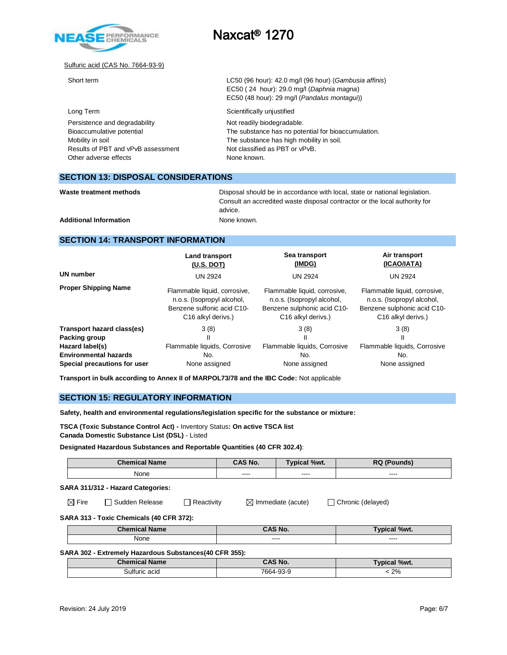

#### Sulfuric acid (CAS No. 7664-93-9)

| Short term                                                                                                           | LC50 (96 hour): 42.0 mg/l (96 hour) (Gambusia affinis)<br>EC50 (24 hour): 29.0 mg/l (Daphnia magna)<br>EC50 (48 hour): 29 mg/l (Pandalus montagui))             |
|----------------------------------------------------------------------------------------------------------------------|-----------------------------------------------------------------------------------------------------------------------------------------------------------------|
| Long Term                                                                                                            | Scientifically unjustified                                                                                                                                      |
| Persistence and degradability<br>Bioaccumulative potential<br>Mobility in soil<br>Results of PBT and vPvB assessment | Not readily biodegradable.<br>The substance has no potential for bioaccumulation.<br>The substance has high mobility in soil.<br>Not classified as PBT or vPvB. |
| Other adverse effects                                                                                                | None known.                                                                                                                                                     |

#### **SECTION 13: DISPOSAL CONSIDERATIONS**

| Waste treatment methods |  |
|-------------------------|--|
|                         |  |

Disposal should be in accordance with local, state or national legislation. Consult an accredited waste disposal contractor or the local authority for advice.

Additional Information **None known.** None known.

## **SECTION 14: TRANSPORT INFORMATION**

|                              | Land transport                 | Sea transport                  | Air transport                  |
|------------------------------|--------------------------------|--------------------------------|--------------------------------|
|                              | $(U.S.$ DOT)                   | (IMDG)                         | (ICAO/IATA)                    |
| <b>UN number</b>             | <b>UN 2924</b>                 | <b>UN 2924</b>                 | <b>UN 2924</b>                 |
| <b>Proper Shipping Name</b>  | Flammable liquid, corrosive,   | Flammable liquid, corrosive,   | Flammable liquid, corrosive,   |
|                              | n.o.s. (Isopropyl alcohol,     | n.o.s. (Isopropyl alcohol,     | n.o.s. (Isopropyl alcohol,     |
|                              | Benzene sulfonic acid C10-     | Benzene sulphonic acid C10-    | Benzene sulphonic acid C10-    |
|                              | C <sub>16</sub> alkyl derivs.) | C <sub>16</sub> alkyl derivs.) | C <sub>16</sub> alkyl derivs.) |
| Transport hazard class(es)   | 3(8)                           | 3(8)                           | 3(8)                           |
| Packing group                | Ш                              | Ш                              | Ш                              |
| Hazard label(s)              | Flammable liquids, Corrosive   | Flammable liquids, Corrosive   | Flammable liquids, Corrosive   |
| <b>Environmental hazards</b> | No.                            | No.                            | No.                            |
| Special precautions for user | None assigned                  | None assigned                  | None assigned                  |

**Transport in bulk according to Annex II of MARPOL73/78 and the IBC Code:** Not applicable

#### **SECTION 15: REGULATORY INFORMATION**

**Safety, health and environmental regulations/legislation specific for the substance or mixture:**

**TSCA (Toxic Substance Control Act) -** Inventory Status**: On active TSCA list Canada Domestic Substance List (DSL)** - Listed

**Designated Hazardous Substances and Reportable Quantities (40 CFR 302.4)**:

|                                   | <b>Chemical Name</b> | <b>CAS No.</b> | <b>Typical %wt.</b> | <b>RQ (Pounds)</b> |
|-----------------------------------|----------------------|----------------|---------------------|--------------------|
|                                   | None                 | $\frac{1}{2}$  | $\frac{1}{2}$       | $\frac{1}{2}$      |
| SARA 311/312 - Hazard Categories: |                      |                |                     |                    |

 $\boxtimes$  Fire  $\Box$  Sudden Release  $\Box$  Reactivity  $\Box$  Immediate (acute)  $\Box$  Chronic (delayed)

## **SARA 313 - Toxic Chemicals (40 CFR 372):**

| ' Chemical<br><b>Name</b> | `^S No.        | %wt.<br><b>Typica</b> |
|---------------------------|----------------|-----------------------|
| None                      | -----<br>----- | ----<br>-----         |

#### **SARA 302 - Extremely Hazardous Substances(40 CFR 355):**

| <b>Chemical Name</b> | <b>CAS No.</b> | Typical %wt. |
|----------------------|----------------|--------------|
| Sulfuric acid        | 7664-93-9      | 2%           |